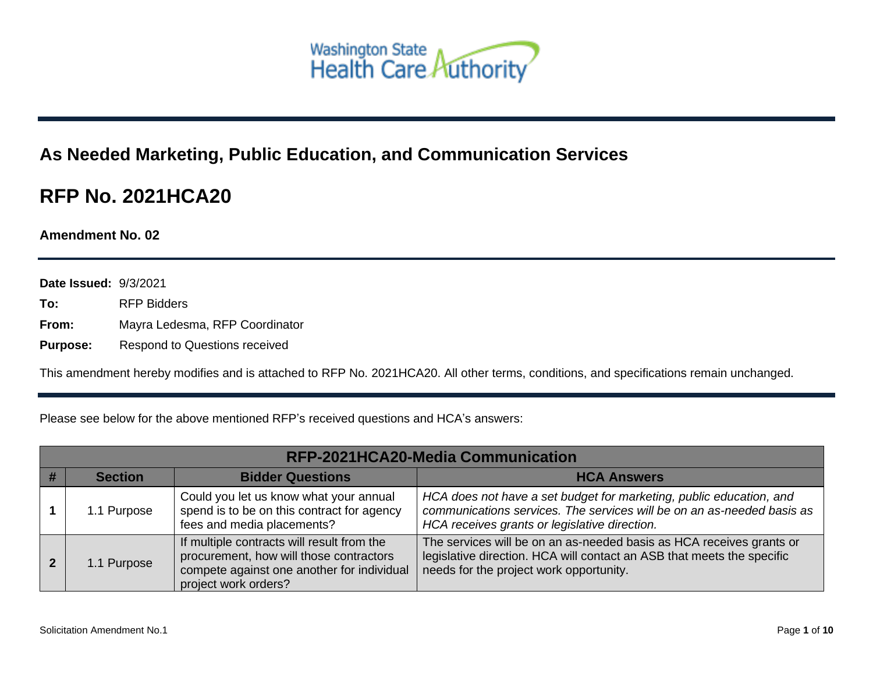

## **As Needed Marketing, Public Education, and Communication Services**

## **RFP No. 2021HCA20**

**Amendment No. 02**

**Date Issued:** 9/3/2021

- **To:** RFP Bidders
- **From:** Mayra Ledesma, RFP Coordinator

**Purpose:** Respond to Questions received

This amendment hereby modifies and is attached to RFP No. 2021HCA20. All other terms, conditions, and specifications remain unchanged.

Please see below for the above mentioned RFP's received questions and HCA's answers:

| RFP-2021HCA20-Media Communication |                |                                                                                                                                                             |                                                                                                                                                                                                |
|-----------------------------------|----------------|-------------------------------------------------------------------------------------------------------------------------------------------------------------|------------------------------------------------------------------------------------------------------------------------------------------------------------------------------------------------|
|                                   | <b>Section</b> | <b>Bidder Questions</b>                                                                                                                                     | <b>HCA Answers</b>                                                                                                                                                                             |
|                                   | 1.1 Purpose    | Could you let us know what your annual<br>spend is to be on this contract for agency<br>fees and media placements?                                          | HCA does not have a set budget for marketing, public education, and<br>communications services. The services will be on an as-needed basis as<br>HCA receives grants or legislative direction. |
| 2                                 | 1.1 Purpose    | If multiple contracts will result from the<br>procurement, how will those contractors<br>compete against one another for individual<br>project work orders? | The services will be on an as-needed basis as HCA receives grants or<br>legislative direction. HCA will contact an ASB that meets the specific<br>needs for the project work opportunity.      |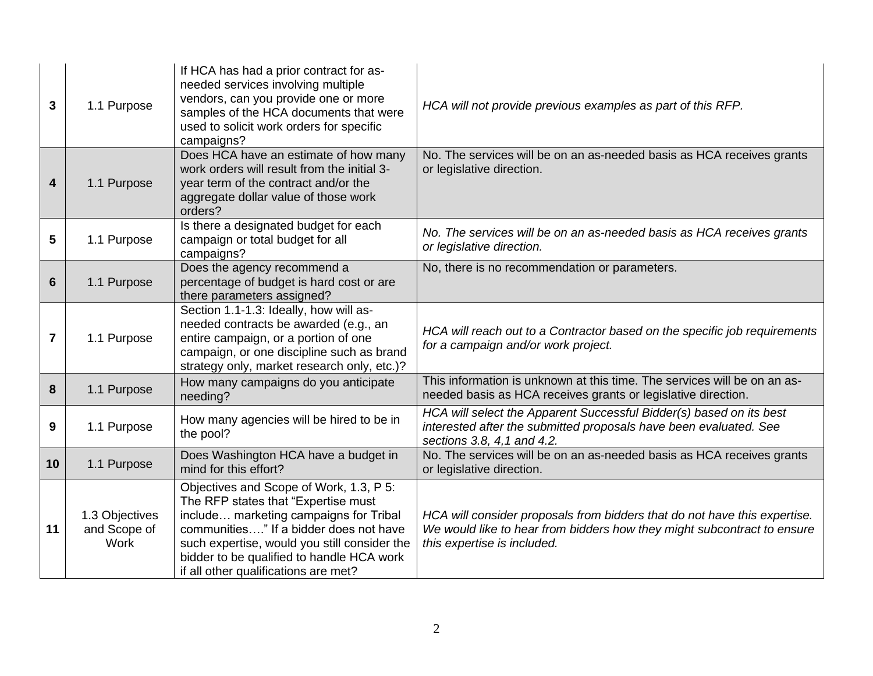| 3               | 1.1 Purpose                                   | If HCA has had a prior contract for as-<br>needed services involving multiple<br>vendors, can you provide one or more<br>samples of the HCA documents that were<br>used to solicit work orders for specific<br>campaigns?                                                                               | HCA will not provide previous examples as part of this RFP.                                                                                                                         |
|-----------------|-----------------------------------------------|---------------------------------------------------------------------------------------------------------------------------------------------------------------------------------------------------------------------------------------------------------------------------------------------------------|-------------------------------------------------------------------------------------------------------------------------------------------------------------------------------------|
| 4               | 1.1 Purpose                                   | Does HCA have an estimate of how many<br>work orders will result from the initial 3-<br>year term of the contract and/or the<br>aggregate dollar value of those work<br>orders?                                                                                                                         | No. The services will be on an as-needed basis as HCA receives grants<br>or legislative direction.                                                                                  |
| 5               | 1.1 Purpose                                   | Is there a designated budget for each<br>campaign or total budget for all<br>campaigns?                                                                                                                                                                                                                 | No. The services will be on an as-needed basis as HCA receives grants<br>or legislative direction.                                                                                  |
| $6\phantom{1}6$ | 1.1 Purpose                                   | Does the agency recommend a<br>percentage of budget is hard cost or are<br>there parameters assigned?                                                                                                                                                                                                   | No, there is no recommendation or parameters.                                                                                                                                       |
| 7               | 1.1 Purpose                                   | Section 1.1-1.3: Ideally, how will as-<br>needed contracts be awarded (e.g., an<br>entire campaign, or a portion of one<br>campaign, or one discipline such as brand<br>strategy only, market research only, etc.)?                                                                                     | HCA will reach out to a Contractor based on the specific job requirements<br>for a campaign and/or work project.                                                                    |
| 8               | 1.1 Purpose                                   | How many campaigns do you anticipate<br>needing?                                                                                                                                                                                                                                                        | This information is unknown at this time. The services will be on an as-<br>needed basis as HCA receives grants or legislative direction.                                           |
| 9               | 1.1 Purpose                                   | How many agencies will be hired to be in<br>the pool?                                                                                                                                                                                                                                                   | HCA will select the Apparent Successful Bidder(s) based on its best<br>interested after the submitted proposals have been evaluated. See<br>sections 3.8, 4,1 and 4.2.              |
| 10              | 1.1 Purpose                                   | Does Washington HCA have a budget in<br>mind for this effort?                                                                                                                                                                                                                                           | No. The services will be on an as-needed basis as HCA receives grants<br>or legislative direction.                                                                                  |
| 11              | 1.3 Objectives<br>and Scope of<br><b>Work</b> | Objectives and Scope of Work, 1.3, P 5:<br>The RFP states that "Expertise must<br>include marketing campaigns for Tribal<br>communities" If a bidder does not have<br>such expertise, would you still consider the<br>bidder to be qualified to handle HCA work<br>if all other qualifications are met? | HCA will consider proposals from bidders that do not have this expertise.<br>We would like to hear from bidders how they might subcontract to ensure<br>this expertise is included. |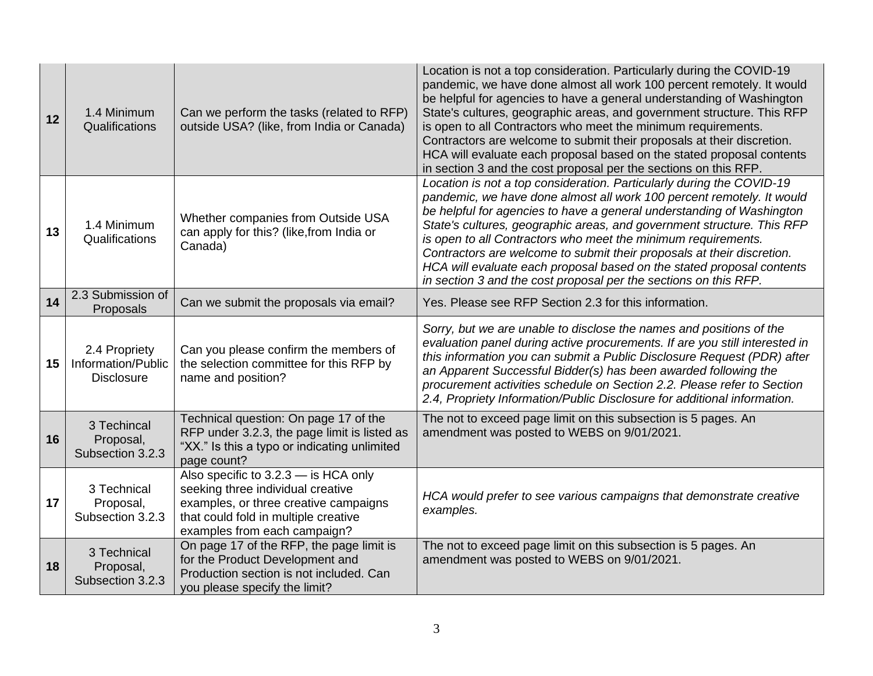| 12 | 1.4 Minimum<br>Qualifications                            | Can we perform the tasks (related to RFP)<br>outside USA? (like, from India or Canada)                                                                                                     | Location is not a top consideration. Particularly during the COVID-19<br>pandemic, we have done almost all work 100 percent remotely. It would<br>be helpful for agencies to have a general understanding of Washington<br>State's cultures, geographic areas, and government structure. This RFP<br>is open to all Contractors who meet the minimum requirements.<br>Contractors are welcome to submit their proposals at their discretion.<br>HCA will evaluate each proposal based on the stated proposal contents<br>in section 3 and the cost proposal per the sections on this RFP. |
|----|----------------------------------------------------------|--------------------------------------------------------------------------------------------------------------------------------------------------------------------------------------------|-------------------------------------------------------------------------------------------------------------------------------------------------------------------------------------------------------------------------------------------------------------------------------------------------------------------------------------------------------------------------------------------------------------------------------------------------------------------------------------------------------------------------------------------------------------------------------------------|
| 13 | 1.4 Minimum<br>Qualifications                            | Whether companies from Outside USA<br>can apply for this? (like, from India or<br>Canada)                                                                                                  | Location is not a top consideration. Particularly during the COVID-19<br>pandemic, we have done almost all work 100 percent remotely. It would<br>be helpful for agencies to have a general understanding of Washington<br>State's cultures, geographic areas, and government structure. This RFP<br>is open to all Contractors who meet the minimum requirements.<br>Contractors are welcome to submit their proposals at their discretion.<br>HCA will evaluate each proposal based on the stated proposal contents<br>in section 3 and the cost proposal per the sections on this RFP. |
| 14 | 2.3 Submission of<br>Proposals                           | Can we submit the proposals via email?                                                                                                                                                     | Yes. Please see RFP Section 2.3 for this information.                                                                                                                                                                                                                                                                                                                                                                                                                                                                                                                                     |
| 15 | 2.4 Propriety<br>Information/Public<br><b>Disclosure</b> | Can you please confirm the members of<br>the selection committee for this RFP by<br>name and position?                                                                                     | Sorry, but we are unable to disclose the names and positions of the<br>evaluation panel during active procurements. If are you still interested in<br>this information you can submit a Public Disclosure Request (PDR) after<br>an Apparent Successful Bidder(s) has been awarded following the<br>procurement activities schedule on Section 2.2. Please refer to Section<br>2.4, Propriety Information/Public Disclosure for additional information.                                                                                                                                   |
| 16 | 3 Techincal<br>Proposal,<br>Subsection 3.2.3             | Technical question: On page 17 of the<br>RFP under 3.2.3, the page limit is listed as<br>"XX." Is this a typo or indicating unlimited<br>page count?                                       | The not to exceed page limit on this subsection is 5 pages. An<br>amendment was posted to WEBS on 9/01/2021.                                                                                                                                                                                                                                                                                                                                                                                                                                                                              |
| 17 | 3 Technical<br>Proposal,<br>Subsection 3.2.3             | Also specific to 3.2.3 - is HCA only<br>seeking three individual creative<br>examples, or three creative campaigns<br>that could fold in multiple creative<br>examples from each campaign? | HCA would prefer to see various campaigns that demonstrate creative<br>examples.                                                                                                                                                                                                                                                                                                                                                                                                                                                                                                          |
| 18 | 3 Technical<br>Proposal,<br>Subsection 3.2.3             | On page 17 of the RFP, the page limit is<br>for the Product Development and<br>Production section is not included. Can<br>you please specify the limit?                                    | The not to exceed page limit on this subsection is 5 pages. An<br>amendment was posted to WEBS on 9/01/2021.                                                                                                                                                                                                                                                                                                                                                                                                                                                                              |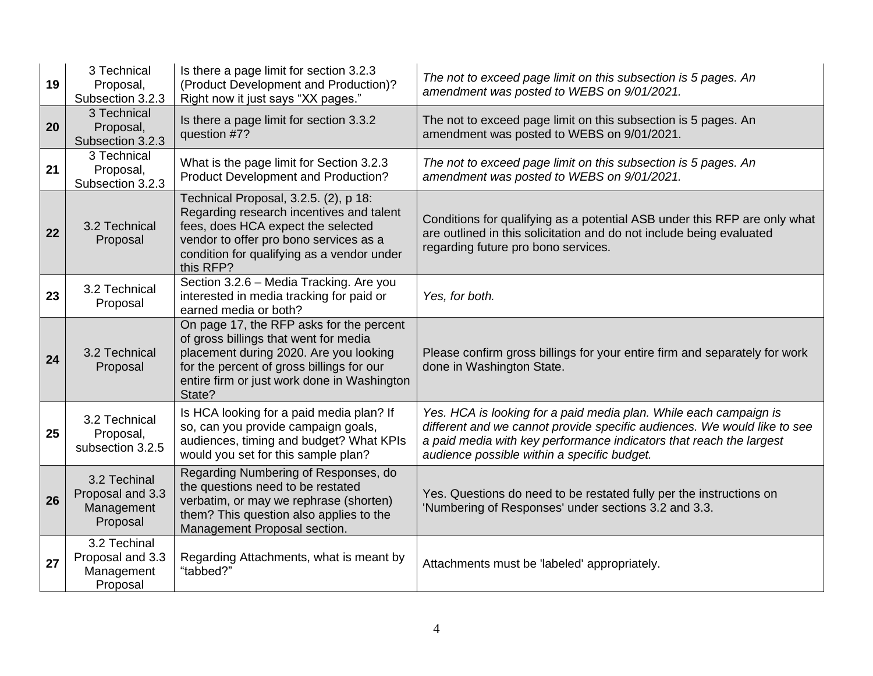| 19 | 3 Technical<br>Proposal,<br>Subsection 3.2.3               | Is there a page limit for section 3.2.3<br>(Product Development and Production)?<br>Right now it just says "XX pages."                                                                                                            | The not to exceed page limit on this subsection is 5 pages. An<br>amendment was posted to WEBS on 9/01/2021.                                                                                                                                                        |
|----|------------------------------------------------------------|-----------------------------------------------------------------------------------------------------------------------------------------------------------------------------------------------------------------------------------|---------------------------------------------------------------------------------------------------------------------------------------------------------------------------------------------------------------------------------------------------------------------|
| 20 | 3 Technical<br>Proposal,<br>Subsection 3.2.3               | Is there a page limit for section 3.3.2<br>question #7?                                                                                                                                                                           | The not to exceed page limit on this subsection is 5 pages. An<br>amendment was posted to WEBS on 9/01/2021.                                                                                                                                                        |
| 21 | 3 Technical<br>Proposal,<br>Subsection 3.2.3               | What is the page limit for Section 3.2.3<br><b>Product Development and Production?</b>                                                                                                                                            | The not to exceed page limit on this subsection is 5 pages. An<br>amendment was posted to WEBS on 9/01/2021.                                                                                                                                                        |
| 22 | 3.2 Technical<br>Proposal                                  | Technical Proposal, 3.2.5. (2), p 18:<br>Regarding research incentives and talent<br>fees, does HCA expect the selected<br>vendor to offer pro bono services as a<br>condition for qualifying as a vendor under<br>this RFP?      | Conditions for qualifying as a potential ASB under this RFP are only what<br>are outlined in this solicitation and do not include being evaluated<br>regarding future pro bono services.                                                                            |
| 23 | 3.2 Technical<br>Proposal                                  | Section 3.2.6 - Media Tracking. Are you<br>interested in media tracking for paid or<br>earned media or both?                                                                                                                      | Yes, for both.                                                                                                                                                                                                                                                      |
| 24 | 3.2 Technical<br>Proposal                                  | On page 17, the RFP asks for the percent<br>of gross billings that went for media<br>placement during 2020. Are you looking<br>for the percent of gross billings for our<br>entire firm or just work done in Washington<br>State? | Please confirm gross billings for your entire firm and separately for work<br>done in Washington State.                                                                                                                                                             |
| 25 | 3.2 Technical<br>Proposal,<br>subsection 3.2.5             | Is HCA looking for a paid media plan? If<br>so, can you provide campaign goals,<br>audiences, timing and budget? What KPIs<br>would you set for this sample plan?                                                                 | Yes. HCA is looking for a paid media plan. While each campaign is<br>different and we cannot provide specific audiences. We would like to see<br>a paid media with key performance indicators that reach the largest<br>audience possible within a specific budget. |
| 26 | 3.2 Techinal<br>Proposal and 3.3<br>Management<br>Proposal | Regarding Numbering of Responses, do<br>the questions need to be restated<br>verbatim, or may we rephrase (shorten)<br>them? This question also applies to the<br>Management Proposal section.                                    | Yes. Questions do need to be restated fully per the instructions on<br>'Numbering of Responses' under sections 3.2 and 3.3.                                                                                                                                         |
| 27 | 3.2 Techinal<br>Proposal and 3.3<br>Management<br>Proposal | Regarding Attachments, what is meant by<br>"tabbed?"                                                                                                                                                                              | Attachments must be 'labeled' appropriately.                                                                                                                                                                                                                        |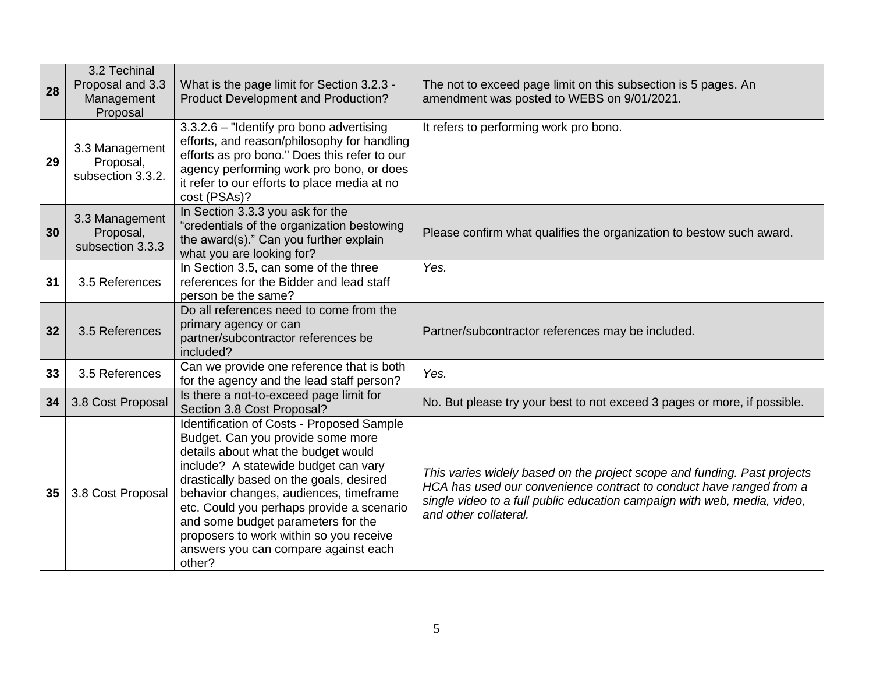| 28 | 3.2 Techinal<br>Proposal and 3.3<br>Management<br>Proposal | What is the page limit for Section 3.2.3 -<br>Product Development and Production?                                                                                                                                                                                                                                                                                                                                                  | The not to exceed page limit on this subsection is 5 pages. An<br>amendment was posted to WEBS on 9/01/2021.                                                                                                                                         |
|----|------------------------------------------------------------|------------------------------------------------------------------------------------------------------------------------------------------------------------------------------------------------------------------------------------------------------------------------------------------------------------------------------------------------------------------------------------------------------------------------------------|------------------------------------------------------------------------------------------------------------------------------------------------------------------------------------------------------------------------------------------------------|
| 29 | 3.3 Management<br>Proposal,<br>subsection 3.3.2.           | $3.3.2.6$ – "Identify pro bono advertising<br>efforts, and reason/philosophy for handling<br>efforts as pro bono." Does this refer to our<br>agency performing work pro bono, or does<br>it refer to our efforts to place media at no<br>cost (PSAs)?                                                                                                                                                                              | It refers to performing work pro bono.                                                                                                                                                                                                               |
| 30 | 3.3 Management<br>Proposal,<br>subsection 3.3.3            | In Section 3.3.3 you ask for the<br>"credentials of the organization bestowing<br>the award(s)." Can you further explain<br>what you are looking for?                                                                                                                                                                                                                                                                              | Please confirm what qualifies the organization to bestow such award.                                                                                                                                                                                 |
| 31 | 3.5 References                                             | In Section 3.5, can some of the three<br>references for the Bidder and lead staff<br>person be the same?                                                                                                                                                                                                                                                                                                                           | Yes.                                                                                                                                                                                                                                                 |
| 32 | 3.5 References                                             | Do all references need to come from the<br>primary agency or can<br>partner/subcontractor references be<br>included?                                                                                                                                                                                                                                                                                                               | Partner/subcontractor references may be included.                                                                                                                                                                                                    |
| 33 | 3.5 References                                             | Can we provide one reference that is both<br>for the agency and the lead staff person?                                                                                                                                                                                                                                                                                                                                             | Yes.                                                                                                                                                                                                                                                 |
| 34 | 3.8 Cost Proposal                                          | Is there a not-to-exceed page limit for<br>Section 3.8 Cost Proposal?                                                                                                                                                                                                                                                                                                                                                              | No. But please try your best to not exceed 3 pages or more, if possible.                                                                                                                                                                             |
| 35 | 3.8 Cost Proposal                                          | Identification of Costs - Proposed Sample<br>Budget. Can you provide some more<br>details about what the budget would<br>include? A statewide budget can vary<br>drastically based on the goals, desired<br>behavior changes, audiences, timeframe<br>etc. Could you perhaps provide a scenario<br>and some budget parameters for the<br>proposers to work within so you receive<br>answers you can compare against each<br>other? | This varies widely based on the project scope and funding. Past projects<br>HCA has used our convenience contract to conduct have ranged from a<br>single video to a full public education campaign with web, media, video,<br>and other collateral. |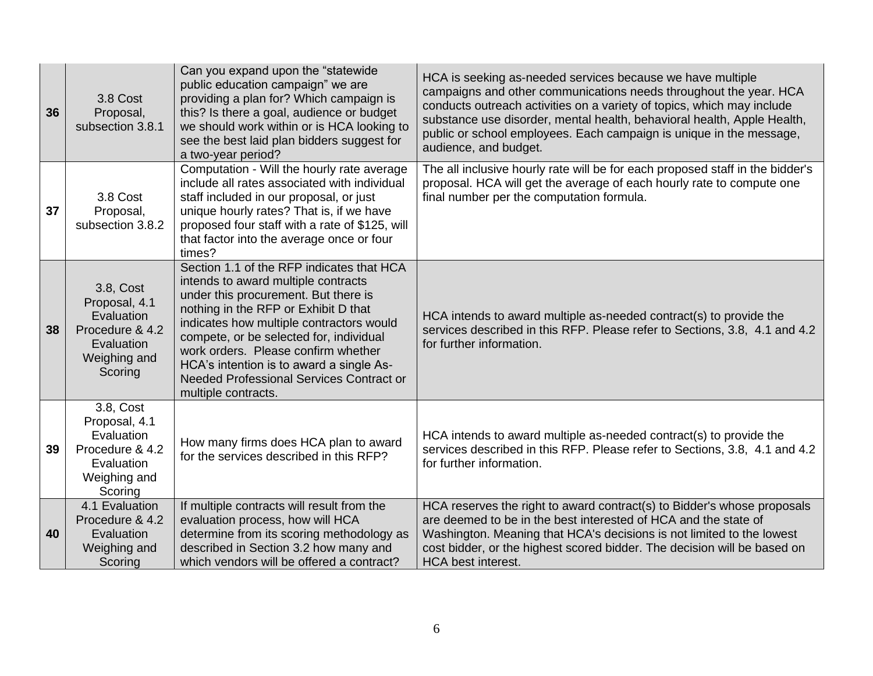| 36 | 3.8 Cost<br>Proposal,<br>subsection 3.8.1                                                            | Can you expand upon the "statewide"<br>public education campaign" we are<br>providing a plan for? Which campaign is<br>this? Is there a goal, audience or budget<br>we should work within or is HCA looking to<br>see the best laid plan bidders suggest for<br>a two-year period?                                                                                                                                   | HCA is seeking as-needed services because we have multiple<br>campaigns and other communications needs throughout the year. HCA<br>conducts outreach activities on a variety of topics, which may include<br>substance use disorder, mental health, behavioral health, Apple Health,<br>public or school employees. Each campaign is unique in the message,<br>audience, and budget. |
|----|------------------------------------------------------------------------------------------------------|----------------------------------------------------------------------------------------------------------------------------------------------------------------------------------------------------------------------------------------------------------------------------------------------------------------------------------------------------------------------------------------------------------------------|--------------------------------------------------------------------------------------------------------------------------------------------------------------------------------------------------------------------------------------------------------------------------------------------------------------------------------------------------------------------------------------|
| 37 | 3.8 Cost<br>Proposal,<br>subsection 3.8.2                                                            | Computation - Will the hourly rate average<br>include all rates associated with individual<br>staff included in our proposal, or just<br>unique hourly rates? That is, if we have<br>proposed four staff with a rate of \$125, will<br>that factor into the average once or four<br>times?                                                                                                                           | The all inclusive hourly rate will be for each proposed staff in the bidder's<br>proposal. HCA will get the average of each hourly rate to compute one<br>final number per the computation formula.                                                                                                                                                                                  |
| 38 | 3.8, Cost<br>Proposal, 4.1<br>Evaluation<br>Procedure & 4.2<br>Evaluation<br>Weighing and<br>Scoring | Section 1.1 of the RFP indicates that HCA<br>intends to award multiple contracts<br>under this procurement. But there is<br>nothing in the RFP or Exhibit D that<br>indicates how multiple contractors would<br>compete, or be selected for, individual<br>work orders. Please confirm whether<br>HCA's intention is to award a single As-<br><b>Needed Professional Services Contract or</b><br>multiple contracts. | HCA intends to award multiple as-needed contract(s) to provide the<br>services described in this RFP. Please refer to Sections, 3.8, 4.1 and 4.2<br>for further information.                                                                                                                                                                                                         |
| 39 | 3.8, Cost<br>Proposal, 4.1<br>Evaluation<br>Procedure & 4.2<br>Evaluation<br>Weighing and<br>Scoring | How many firms does HCA plan to award<br>for the services described in this RFP?                                                                                                                                                                                                                                                                                                                                     | HCA intends to award multiple as-needed contract(s) to provide the<br>services described in this RFP. Please refer to Sections, 3.8, 4.1 and 4.2<br>for further information.                                                                                                                                                                                                         |
| 40 | 4.1 Evaluation<br>Procedure & 4.2<br>Evaluation<br>Weighing and<br>Scoring                           | If multiple contracts will result from the<br>evaluation process, how will HCA<br>determine from its scoring methodology as<br>described in Section 3.2 how many and<br>which vendors will be offered a contract?                                                                                                                                                                                                    | HCA reserves the right to award contract(s) to Bidder's whose proposals<br>are deemed to be in the best interested of HCA and the state of<br>Washington. Meaning that HCA's decisions is not limited to the lowest<br>cost bidder, or the highest scored bidder. The decision will be based on<br><b>HCA</b> best interest.                                                         |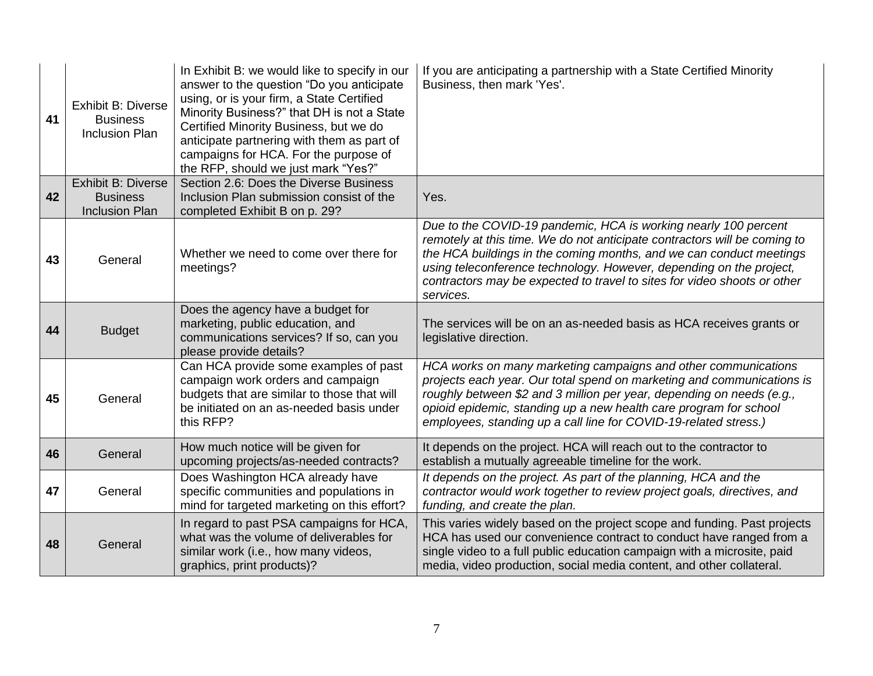| 41 | <b>Exhibit B: Diverse</b><br><b>Business</b><br><b>Inclusion Plan</b> | In Exhibit B: we would like to specify in our<br>answer to the question "Do you anticipate<br>using, or is your firm, a State Certified<br>Minority Business?" that DH is not a State<br>Certified Minority Business, but we do<br>anticipate partnering with them as part of<br>campaigns for HCA. For the purpose of<br>the RFP, should we just mark "Yes?" | If you are anticipating a partnership with a State Certified Minority<br>Business, then mark 'Yes'.                                                                                                                                                                                                                                                                                 |
|----|-----------------------------------------------------------------------|---------------------------------------------------------------------------------------------------------------------------------------------------------------------------------------------------------------------------------------------------------------------------------------------------------------------------------------------------------------|-------------------------------------------------------------------------------------------------------------------------------------------------------------------------------------------------------------------------------------------------------------------------------------------------------------------------------------------------------------------------------------|
|    | <b>Exhibit B: Diverse</b>                                             | Section 2.6: Does the Diverse Business                                                                                                                                                                                                                                                                                                                        |                                                                                                                                                                                                                                                                                                                                                                                     |
| 42 | <b>Business</b><br><b>Inclusion Plan</b>                              | Inclusion Plan submission consist of the<br>completed Exhibit B on p. 29?                                                                                                                                                                                                                                                                                     | Yes.                                                                                                                                                                                                                                                                                                                                                                                |
| 43 | General                                                               | Whether we need to come over there for<br>meetings?                                                                                                                                                                                                                                                                                                           | Due to the COVID-19 pandemic, HCA is working nearly 100 percent<br>remotely at this time. We do not anticipate contractors will be coming to<br>the HCA buildings in the coming months, and we can conduct meetings<br>using teleconference technology. However, depending on the project,<br>contractors may be expected to travel to sites for video shoots or other<br>services. |
| 44 | <b>Budget</b>                                                         | Does the agency have a budget for<br>marketing, public education, and<br>communications services? If so, can you<br>please provide details?                                                                                                                                                                                                                   | The services will be on an as-needed basis as HCA receives grants or<br>legislative direction.                                                                                                                                                                                                                                                                                      |
| 45 | General                                                               | Can HCA provide some examples of past<br>campaign work orders and campaign<br>budgets that are similar to those that will<br>be initiated on an as-needed basis under<br>this RFP?                                                                                                                                                                            | HCA works on many marketing campaigns and other communications<br>projects each year. Our total spend on marketing and communications is<br>roughly between \$2 and 3 million per year, depending on needs (e.g.,<br>opioid epidemic, standing up a new health care program for school<br>employees, standing up a call line for COVID-19-related stress.)                          |
| 46 | General                                                               | How much notice will be given for<br>upcoming projects/as-needed contracts?                                                                                                                                                                                                                                                                                   | It depends on the project. HCA will reach out to the contractor to<br>establish a mutually agreeable timeline for the work.                                                                                                                                                                                                                                                         |
| 47 | General                                                               | Does Washington HCA already have<br>specific communities and populations in<br>mind for targeted marketing on this effort?                                                                                                                                                                                                                                    | It depends on the project. As part of the planning, HCA and the<br>contractor would work together to review project goals, directives, and<br>funding, and create the plan.                                                                                                                                                                                                         |
| 48 | General                                                               | In regard to past PSA campaigns for HCA,<br>what was the volume of deliverables for<br>similar work (i.e., how many videos,<br>graphics, print products)?                                                                                                                                                                                                     | This varies widely based on the project scope and funding. Past projects<br>HCA has used our convenience contract to conduct have ranged from a<br>single video to a full public education campaign with a microsite, paid<br>media, video production, social media content, and other collateral.                                                                                  |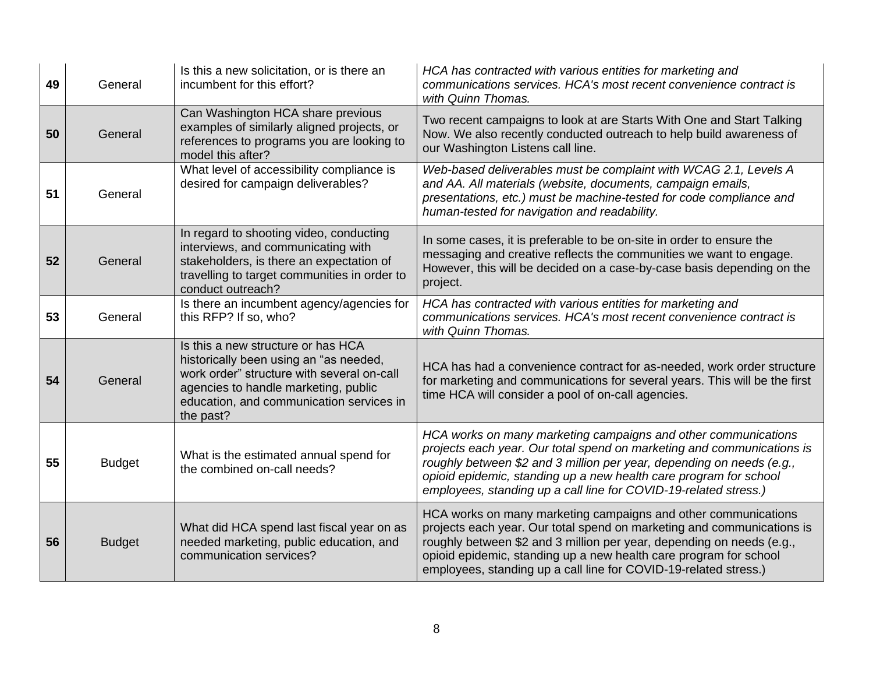| 49 | General       | Is this a new solicitation, or is there an<br>incumbent for this effort?                                                                                                                                                    | HCA has contracted with various entities for marketing and<br>communications services. HCA's most recent convenience contract is<br>with Quinn Thomas.                                                                                                                                                                                                     |
|----|---------------|-----------------------------------------------------------------------------------------------------------------------------------------------------------------------------------------------------------------------------|------------------------------------------------------------------------------------------------------------------------------------------------------------------------------------------------------------------------------------------------------------------------------------------------------------------------------------------------------------|
| 50 | General       | Can Washington HCA share previous<br>examples of similarly aligned projects, or<br>references to programs you are looking to<br>model this after?                                                                           | Two recent campaigns to look at are Starts With One and Start Talking<br>Now. We also recently conducted outreach to help build awareness of<br>our Washington Listens call line.                                                                                                                                                                          |
| 51 | General       | What level of accessibility compliance is<br>desired for campaign deliverables?                                                                                                                                             | Web-based deliverables must be complaint with WCAG 2.1, Levels A<br>and AA. All materials (website, documents, campaign emails,<br>presentations, etc.) must be machine-tested for code compliance and<br>human-tested for navigation and readability.                                                                                                     |
| 52 | General       | In regard to shooting video, conducting<br>interviews, and communicating with<br>stakeholders, is there an expectation of<br>travelling to target communities in order to<br>conduct outreach?                              | In some cases, it is preferable to be on-site in order to ensure the<br>messaging and creative reflects the communities we want to engage.<br>However, this will be decided on a case-by-case basis depending on the<br>project.                                                                                                                           |
| 53 | General       | Is there an incumbent agency/agencies for<br>this RFP? If so, who?                                                                                                                                                          | HCA has contracted with various entities for marketing and<br>communications services. HCA's most recent convenience contract is<br>with Quinn Thomas.                                                                                                                                                                                                     |
| 54 | General       | Is this a new structure or has HCA<br>historically been using an "as needed,<br>work order" structure with several on-call<br>agencies to handle marketing, public<br>education, and communication services in<br>the past? | HCA has had a convenience contract for as-needed, work order structure<br>for marketing and communications for several years. This will be the first<br>time HCA will consider a pool of on-call agencies.                                                                                                                                                 |
| 55 | <b>Budget</b> | What is the estimated annual spend for<br>the combined on-call needs?                                                                                                                                                       | HCA works on many marketing campaigns and other communications<br>projects each year. Our total spend on marketing and communications is<br>roughly between \$2 and 3 million per year, depending on needs (e.g.,<br>opioid epidemic, standing up a new health care program for school<br>employees, standing up a call line for COVID-19-related stress.) |
| 56 | <b>Budget</b> | What did HCA spend last fiscal year on as<br>needed marketing, public education, and<br>communication services?                                                                                                             | HCA works on many marketing campaigns and other communications<br>projects each year. Our total spend on marketing and communications is<br>roughly between \$2 and 3 million per year, depending on needs (e.g.,<br>opioid epidemic, standing up a new health care program for school<br>employees, standing up a call line for COVID-19-related stress.) |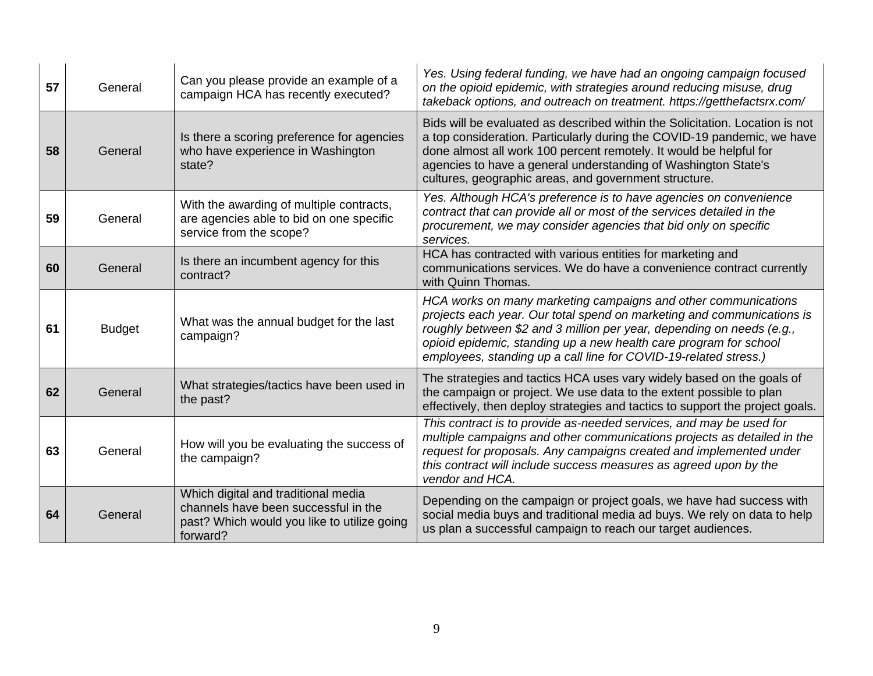| 57 | General       | Can you please provide an example of a<br>campaign HCA has recently executed?                                                          | Yes. Using federal funding, we have had an ongoing campaign focused<br>on the opioid epidemic, with strategies around reducing misuse, drug<br>takeback options, and outreach on treatment. https://getthefactsrx.com/                                                                                                                                     |
|----|---------------|----------------------------------------------------------------------------------------------------------------------------------------|------------------------------------------------------------------------------------------------------------------------------------------------------------------------------------------------------------------------------------------------------------------------------------------------------------------------------------------------------------|
| 58 | General       | Is there a scoring preference for agencies<br>who have experience in Washington<br>state?                                              | Bids will be evaluated as described within the Solicitation. Location is not<br>a top consideration. Particularly during the COVID-19 pandemic, we have<br>done almost all work 100 percent remotely. It would be helpful for<br>agencies to have a general understanding of Washington State's<br>cultures, geographic areas, and government structure.   |
| 59 | General       | With the awarding of multiple contracts,<br>are agencies able to bid on one specific<br>service from the scope?                        | Yes. Although HCA's preference is to have agencies on convenience<br>contract that can provide all or most of the services detailed in the<br>procurement, we may consider agencies that bid only on specific<br>services.                                                                                                                                 |
| 60 | General       | Is there an incumbent agency for this<br>contract?                                                                                     | HCA has contracted with various entities for marketing and<br>communications services. We do have a convenience contract currently<br>with Quinn Thomas.                                                                                                                                                                                                   |
| 61 | <b>Budget</b> | What was the annual budget for the last<br>campaign?                                                                                   | HCA works on many marketing campaigns and other communications<br>projects each year. Our total spend on marketing and communications is<br>roughly between \$2 and 3 million per year, depending on needs (e.g.,<br>opioid epidemic, standing up a new health care program for school<br>employees, standing up a call line for COVID-19-related stress.) |
| 62 | General       | What strategies/tactics have been used in<br>the past?                                                                                 | The strategies and tactics HCA uses vary widely based on the goals of<br>the campaign or project. We use data to the extent possible to plan<br>effectively, then deploy strategies and tactics to support the project goals.                                                                                                                              |
| 63 | General       | How will you be evaluating the success of<br>the campaign?                                                                             | This contract is to provide as-needed services, and may be used for<br>multiple campaigns and other communications projects as detailed in the<br>request for proposals. Any campaigns created and implemented under<br>this contract will include success measures as agreed upon by the<br>vendor and HCA.                                               |
| 64 | General       | Which digital and traditional media<br>channels have been successful in the<br>past? Which would you like to utilize going<br>forward? | Depending on the campaign or project goals, we have had success with<br>social media buys and traditional media ad buys. We rely on data to help<br>us plan a successful campaign to reach our target audiences.                                                                                                                                           |